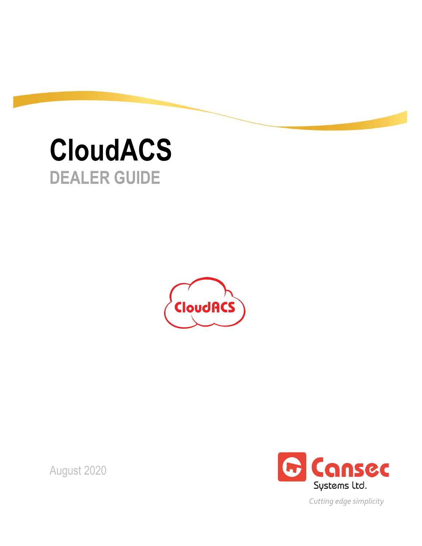# **CloudACS DEALER GUIDE**



G Cansec Systems Ltd.

*Cutting edge simplicity*

August 2020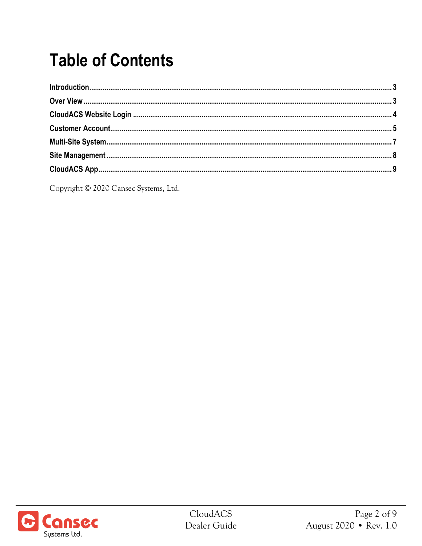## **Table of Contents**

Copyright © 2020 Cansec Systems, Ltd.

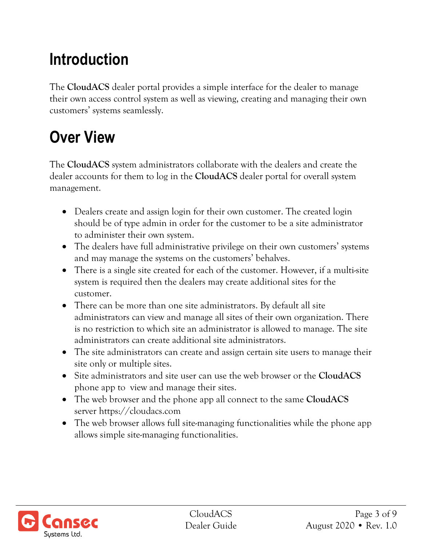#### **Introduction**

The **CloudACS** dealer portal provides a simple interface for the dealer to manage their own access control system as well as viewing, creating and managing their own customers' systems seamlessly.

#### **Over View**

The **CloudACS** system administrators collaborate with the dealers and create the dealer accounts for them to log in the **CloudACS** dealer portal for overall system management.

- Dealers create and assign login for their own customer. The created login should be of type admin in order for the customer to be a site administrator to administer their own system.
- The dealers have full administrative privilege on their own customers' systems and may manage the systems on the customers' behalves.
- There is a single site created for each of the customer. However, if a multi-site system is required then the dealers may create additional sites for the customer.
- There can be more than one site administrators. By default all site administrators can view and manage all sites of their own organization. There is no restriction to which site an administrator is allowed to manage. The site administrators can create additional site administrators.
- The site administrators can create and assign certain site users to manage their site only or multiple sites.
- Site administrators and site user can use the web browser or the **CloudACS** phone app to view and manage their sites.
- The web browser and the phone app all connect to the same **CloudACS**  server https://cloudacs.com
- The web browser allows full site-managing functionalities while the phone app allows simple site-managing functionalities.

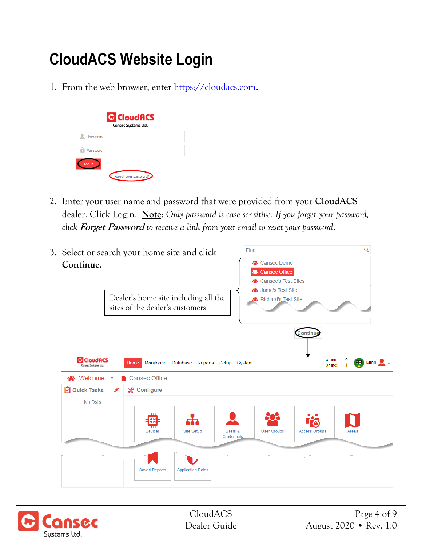#### **CloudACS Website Login**

1. From the web browser, enter [https://cloudacs.com.](https://cloudacs.com/)

| User name |  |
|-----------|--|
| Password  |  |

2. Enter your user name and password that were provided from your **CloudACS** dealer. Click Login. **Note**: *Only password is case sensitive*. *If you forget your password, click* **Forget Password** *to receive a link from your email to reset your password*.



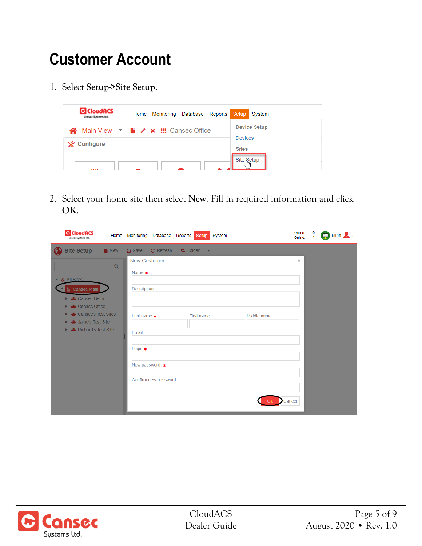#### **Customer Account**

1. Select **Setup->Site Setup**.



2. Select your home site then select **New**. Fill in required information and click **OK**.

| <b>G</b> CloudRCS<br>Consec Systems Ltd.                                                                                                                                           |                  | Home Monitoring Database                                                                                             |                      | Reports Setup System   |                       | Offline:<br>Online: | 0<br>1 | <b>B</b> Minh |
|------------------------------------------------------------------------------------------------------------------------------------------------------------------------------------|------------------|----------------------------------------------------------------------------------------------------------------------|----------------------|------------------------|-----------------------|---------------------|--------|---------------|
| <b>Site Setup</b>                                                                                                                                                                  | <sup>1</sup> New | <b>A</b> Save                                                                                                        | $C$ Refresh          | Folder<br>$\mathbf{v}$ |                       |                     |        |               |
| $\triangle$ $\triangle$ All Sites<br>tansec Main<br>▶ & Cansec Demo<br>器 Cansec Office<br>ъ.<br>器 Cansec's Test Sites<br>Þ.<br>器 Jame's Test Site<br>Þ.<br>▶ & Richard's Test Site | $\alpha$         | <b>New Customer</b><br>Name $\ast$<br><b>Description</b><br>Last name $\ast$<br>Email<br>Login $*$<br>New password * | Confirm new password | First name             | Middle name<br>Cancel | $\times$            |        |               |

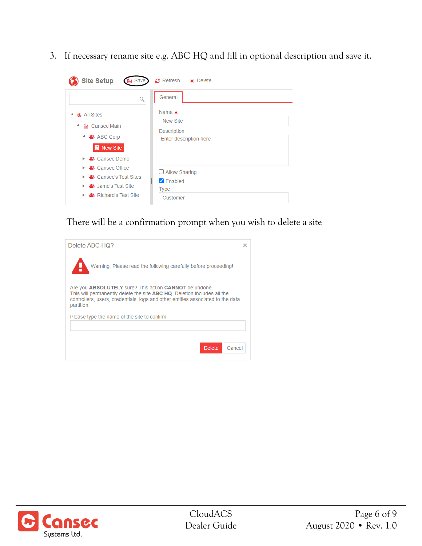3. If necessary rename site e.g. ABC HQ and fill in optional description and save it.

| <b>Site Setup</b><br><b>A</b> Save                                                                                 | $\Omega$ Refresh $\times$ Delete                                    |
|--------------------------------------------------------------------------------------------------------------------|---------------------------------------------------------------------|
|                                                                                                                    | General                                                             |
| <b>C</b> All Sites<br><b>A</b> Cansec Main<br>ᆁ<br>▲ ABC Corp<br>٠<br><b>N</b> New Site<br>器 Cansec Demo<br>ъ.     | Name $\ast$<br>New Site<br>Description<br>Enter description here    |
| 器 Cansec Office<br>ъ.<br><b>▲</b> Cansec's Test Sites<br>ъ.<br>& Jame's Test Site<br>ъ.<br>▶ & Richard's Test Site | $\Box$ Allow Sharing<br>$\triangledown$ Enabled<br>Type<br>Customer |

There will be a confirmation prompt when you wish to delete a site

| Delete ABC HQ?                                                                                                                                                                                                                     |        |  |  |  |  |  |
|------------------------------------------------------------------------------------------------------------------------------------------------------------------------------------------------------------------------------------|--------|--|--|--|--|--|
| Warning: Please read the following carefully before proceeding!                                                                                                                                                                    |        |  |  |  |  |  |
| Are you ABSOLUTELY sure? This action CANNOT be undone.<br>This will permanently delete the site ABC HQ. Deletion includes all the<br>controllers, users, credentials, logs and other entities associated to the data<br>partition. |        |  |  |  |  |  |
| Please type the name of the site to confirm.                                                                                                                                                                                       |        |  |  |  |  |  |
| <b>Delete</b>                                                                                                                                                                                                                      | Cancel |  |  |  |  |  |

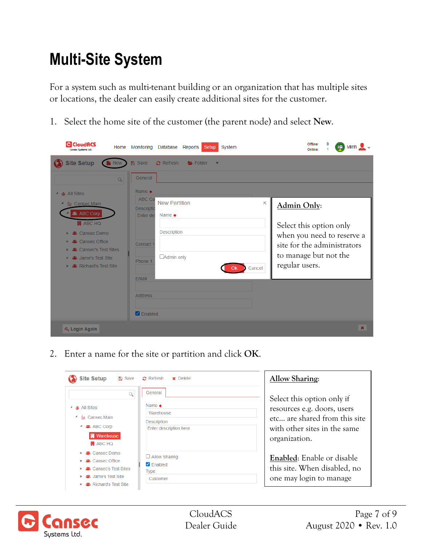#### **Multi-Site System**

For a system such as multi-tenant building or an organization that has multiple sites or locations, the dealer can easily create additional sites for the customer.

1. Select the home site of the customer (the parent node) and select **New**.

| <b>G</b> CloudACS<br>Consec Systems Ltd                                                                                                                                                               | Home       | Monitoring                                                              | Database                                                                       | Reports | Setup                   | System |                    |                                                                                                                                                | Offline:<br>Online: | 0<br>4 | $\Box$ Minh $\sim$ - |                |
|-------------------------------------------------------------------------------------------------------------------------------------------------------------------------------------------------------|------------|-------------------------------------------------------------------------|--------------------------------------------------------------------------------|---------|-------------------------|--------|--------------------|------------------------------------------------------------------------------------------------------------------------------------------------|---------------------|--------|----------------------|----------------|
| <b>Site Setup</b>                                                                                                                                                                                     | <b>New</b> | <b>A</b> Save                                                           | $\Omega$ Refresh                                                               | Folder  | $\overline{\mathbf{v}}$ |        |                    |                                                                                                                                                |                     |        |                      |                |
| $\triangle$ $\bullet$ All Sites                                                                                                                                                                       | Q          | General<br>Name $*$                                                     |                                                                                |         |                         |        |                    |                                                                                                                                                |                     |        |                      |                |
| <b>A</b> Cansec Main<br><b>卷 ABC Corp</b><br><b>開 ABC HQ</b><br>器 Cansec Demo<br><b>2</b> Cansec Office<br><b>3</b> Cansec's Test Sites<br><b>43 Jame's Test Site</b><br><b>卷</b> Richard's Test Site |            | ABC Co<br><b>Descriptic</b><br>Enter de:<br>Contact<br>Phone 1<br>Email | <b>New Partition</b><br>Name $\ast$<br><b>Description</b><br><b>Admin only</b> |         |                         |        | $\times$<br>Cancel | Admin Only:<br>Select this option only<br>when you need to reserve a<br>site for the administrators<br>to manage but not the<br>regular users. |                     |        |                      |                |
|                                                                                                                                                                                                       |            | <b>Address</b><br><b>Z</b> Enabled                                      |                                                                                |         |                         |        |                    |                                                                                                                                                |                     |        |                      |                |
| Q <sub>k</sub> Login Again                                                                                                                                                                            |            |                                                                         |                                                                                |         |                         |        |                    |                                                                                                                                                |                     |        |                      | $\pmb{\times}$ |

2. Enter a name for the site or partition and click **OK**.

| <b>Site Setup</b><br><b>A</b> Save                                                                      | $\boldsymbol{c}$ Refresh<br>$\times$ Delete                                  | <b>Allow Sharing:</b>                                                                                                                       |
|---------------------------------------------------------------------------------------------------------|------------------------------------------------------------------------------|---------------------------------------------------------------------------------------------------------------------------------------------|
| <b>a</b> All Sites<br>▲ A Cansec Main<br><b>器 ABC Corp</b><br><b>開</b> Warehouse<br><b>H</b> ABC HQ     | General<br>Name $\ast$<br>Warehouse<br>Description<br>Enter description here | Select this option only if<br>resources e.g. doors, users<br>etc are shared from this site<br>with other sites in the same<br>organization. |
| Cansec Demo<br>Cansec Office<br>器 Cansec's Test Sites<br>Jame's Test Site<br><b>Richard's Test Site</b> | $\Box$ Allow Sharing<br>$\triangledown$ Enabled<br>Type<br>Customer          | <b>Enabled:</b> Enable or disable<br>this site. When disabled, no<br>one may login to manage                                                |

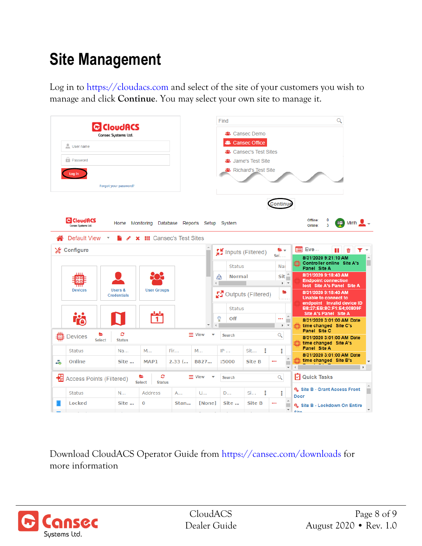#### **Site Management**

Log in to [https://cloudacs.com](https://cloudacs.com/) and select of the site of your customers you wish to manage and click **Continue**. You may select your own site to manage it.



Download CloudACS Operator Guide from<https://cansec.com/downloads> for more information